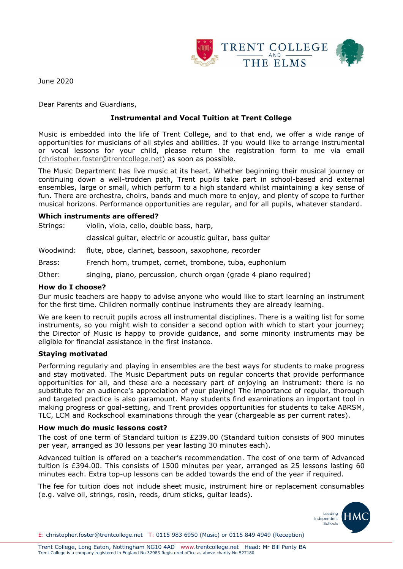

June 2020

Dear Parents and Guardians,

# **Instrumental and Vocal Tuition at Trent College**

Music is embedded into the life of Trent College, and to that end, we offer a wide range of opportunities for musicians of all styles and abilities. If you would like to arrange instrumental or vocal lessons for your child, please return the registration form to me via email [\(christopher.foster@trentcollege.net\)](mailto:christopher.foster@trentcollege.net) as soon as possible.

The Music Department has live music at its heart. Whether beginning their musical journey or continuing down a well-trodden path, Trent pupils take part in school-based and external ensembles, large or small, which perform to a high standard whilst maintaining a key sense of fun. There are orchestra, choirs, bands and much more to enjoy, and plenty of scope to further musical horizons. Performance opportunities are regular, and for all pupils, whatever standard.

#### **Which instruments are offered?**

Strings: violin, viola, cello, double bass, harp,

classical guitar, electric or acoustic guitar, bass guitar

Woodwind: flute, oboe, clarinet, bassoon, saxophone, recorder

Brass: French horn, trumpet, cornet, trombone, tuba, euphonium

Other: singing, piano, percussion, church organ (grade 4 piano required)

#### **How do I choose?**

Our music teachers are happy to advise anyone who would like to start learning an instrument for the first time. Children normally continue instruments they are already learning.

We are keen to recruit pupils across all instrumental disciplines. There is a waiting list for some instruments, so you might wish to consider a second option with which to start your journey; the Director of Music is happy to provide guidance, and some minority instruments may be eligible for financial assistance in the first instance.

### **Staying motivated**

Performing regularly and playing in ensembles are the best ways for students to make progress and stay motivated. The Music Department puts on regular concerts that provide performance opportunities for all, and these are a necessary part of enjoying an instrument: there is no substitute for an audience's appreciation of your playing! The importance of regular, thorough and targeted practice is also paramount. Many students find examinations an important tool in making progress or goal-setting, and Trent provides opportunities for students to take ABRSM, TLC, LCM and Rockschool examinations through the year (chargeable as per current rates).

#### **How much do music lessons cost?**

The cost of one term of Standard tuition is £239.00 (Standard tuition consists of 900 minutes per year, arranged as 30 lessons per year lasting 30 minutes each).

Advanced tuition is offered on a teacher's recommendation. The cost of one term of Advanced tuition is £394.00. This consists of 1500 minutes per year, arranged as 25 lessons lasting 60 minutes each. Extra top-up lessons can be added towards the end of the year if required.

The fee for tuition does not include sheet music, instrument hire or replacement consumables (e.g. valve oil, strings, rosin, reeds, drum sticks, guitar leads).

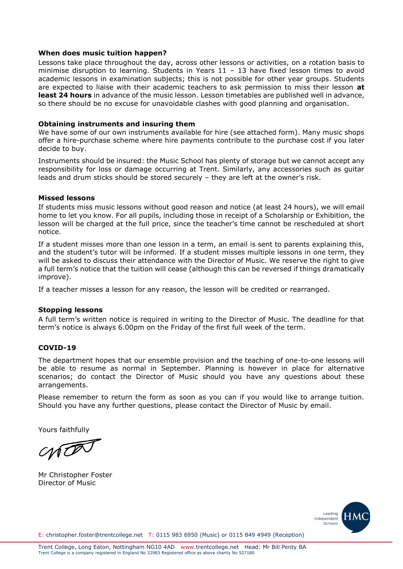### **When does music tuition happen?**

Lessons take place throughout the day, across other lessons or activities, on a rotation basis to minimise disruption to learning. Students in Years 11 – 13 have fixed lesson times to avoid academic lessons in examination subjects; this is not possible for other year groups. Students are expected to liaise with their academic teachers to ask permission to miss their lesson **at least 24 hours** in advance of the music lesson. Lesson timetables are published well in advance, so there should be no excuse for unavoidable clashes with good planning and organisation.

### **Obtaining instruments and insuring them**

We have some of our own instruments available for hire (see attached form). Many music shops offer a hire-purchase scheme where hire payments contribute to the purchase cost if you later decide to buy.

Instruments should be insured: the Music School has plenty of storage but we cannot accept any responsibility for loss or damage occurring at Trent. Similarly, any accessories such as guitar leads and drum sticks should be stored securely – they are left at the owner's risk.

### **Missed lessons**

If students miss music lessons without good reason and notice (at least 24 hours), we will email home to let you know. For all pupils, including those in receipt of a Scholarship or Exhibition, the lesson will be charged at the full price, since the teacher's time cannot be rescheduled at short notice.

If a student misses more than one lesson in a term, an email is sent to parents explaining this, and the student's tutor will be informed. If a student misses multiple lessons in one term, they will be asked to discuss their attendance with the Director of Music. We reserve the right to give a full term's notice that the tuition will cease (although this can be reversed if things dramatically improve).

If a teacher misses a lesson for any reason, the lesson will be credited or rearranged.

### **Stopping lessons**

A full term's written notice is required in writing to the Director of Music. The deadline for that term's notice is always 6.00pm on the Friday of the first full week of the term.

# **COVID-19**

The department hopes that our ensemble provision and the teaching of one-to-one lessons will be able to resume as normal in September. Planning is however in place for alternative scenarios; do contact the Director of Music should you have any questions about these arrangements.

Please remember to return the form as soon as you can if you would like to arrange tuition. Should you have any further questions, please contact the Director of Music by email.

Yours faithfully

NO

Mr Christopher Foster Director of Music

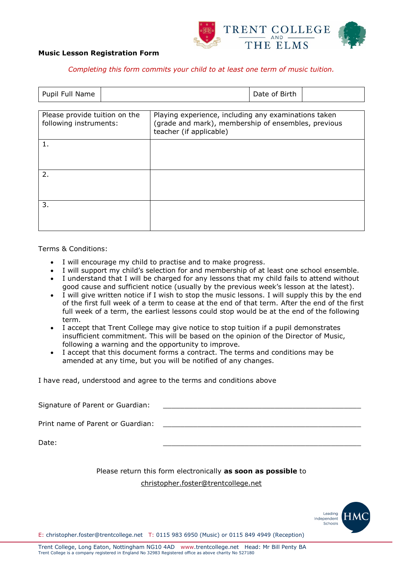

#### **Music Lesson Registration Form**

#### *Completing this form commits your child to at least one term of music tuition.*

| Pupil Full Name                                         |  |                                                                                                                                        | Date of Birth |  |
|---------------------------------------------------------|--|----------------------------------------------------------------------------------------------------------------------------------------|---------------|--|
| Please provide tuition on the<br>following instruments: |  | Playing experience, including any examinations taken<br>(grade and mark), membership of ensembles, previous<br>teacher (if applicable) |               |  |
| 1.                                                      |  |                                                                                                                                        |               |  |
| 2.                                                      |  |                                                                                                                                        |               |  |
| 3.                                                      |  |                                                                                                                                        |               |  |

#### Terms & Conditions:

- I will encourage my child to practise and to make progress.
- I will support my child's selection for and membership of at least one school ensemble.
- I understand that I will be charged for any lessons that my child fails to attend without good cause and sufficient notice (usually by the previous week's lesson at the latest).
- I will give written notice if I wish to stop the music lessons. I will supply this by the end of the first full week of a term to cease at the end of that term. After the end of the first full week of a term, the earliest lessons could stop would be at the end of the following term.
- I accept that Trent College may give notice to stop tuition if a pupil demonstrates insufficient commitment. This will be based on the opinion of the Director of Music, following a warning and the opportunity to improve.
- I accept that this document forms a contract. The terms and conditions may be amended at any time, but you will be notified of any changes.

I have read, understood and agree to the terms and conditions above

| Signature of Parent or Guardian:  |  |
|-----------------------------------|--|
| Print name of Parent or Guardian: |  |
| Date:                             |  |

# Please return this form electronically **as soon as possible** to

### christopher.foster@trentcollege.net